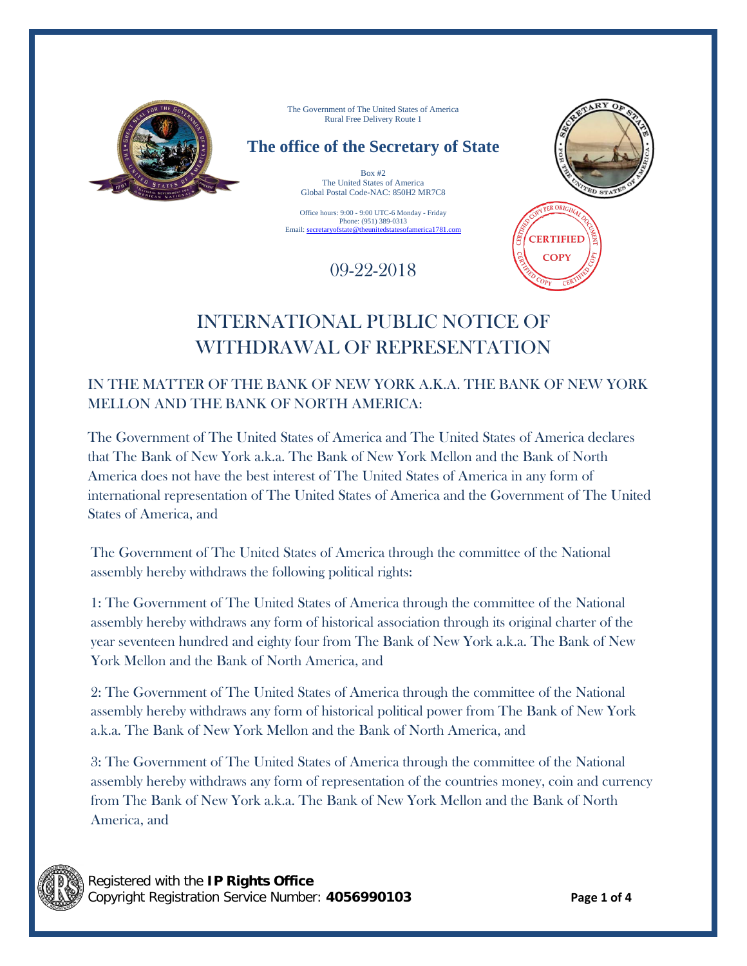

The Government of The United States of America Rural Free Delivery Route 1

# **The office of the Secretary of State**

Box #2 The United States of America Global Postal Code-NAC: 850H2 MR7C8

Office hours: 9:00 - 9:00 UTC-6 Monday - Friday Phone: (951) 389-0313 Email: secretaryofstate@theunitedstatesofamerica1781.com

09-22-2018



**CERTIFIED COPY** 

# INTERNATIONAL PUBLIC NOTICE OF WITHDRAWAL OF REPRESENTATION

## IN THE MATTER OF THE BANK OF NEW YORK A.K.A. THE BANK OF NEW YORK MELLON AND THE BANK OF NORTH AMERICA:

The Government of The United States of America and The United States of America declares that The Bank of New York a.k.a. The Bank of New York Mellon and the Bank of North America does not have the best interest of The United States of America in any form of international representation of The United States of America and the Government of The United States of America, and

The Government of The United States of America through the committee of the National assembly hereby withdraws the following political rights:

1: The Government of The United States of America through the committee of the National assembly hereby withdraws any form of historical association through its original charter of the year seventeen hundred and eighty four from The Bank of New York a.k.a. The Bank of New York Mellon and the Bank of North America, and

2: The Government of The United States of America through the committee of the National assembly hereby withdraws any form of historical political power from The Bank of New York a.k.a. The Bank of New York Mellon and the Bank of North America, and

3: The Government of The United States of America through the committee of the National assembly hereby withdraws any form of representation of the countries money, coin and currency from The Bank of New York a.k.a. The Bank of New York Mellon and the Bank of North America, and

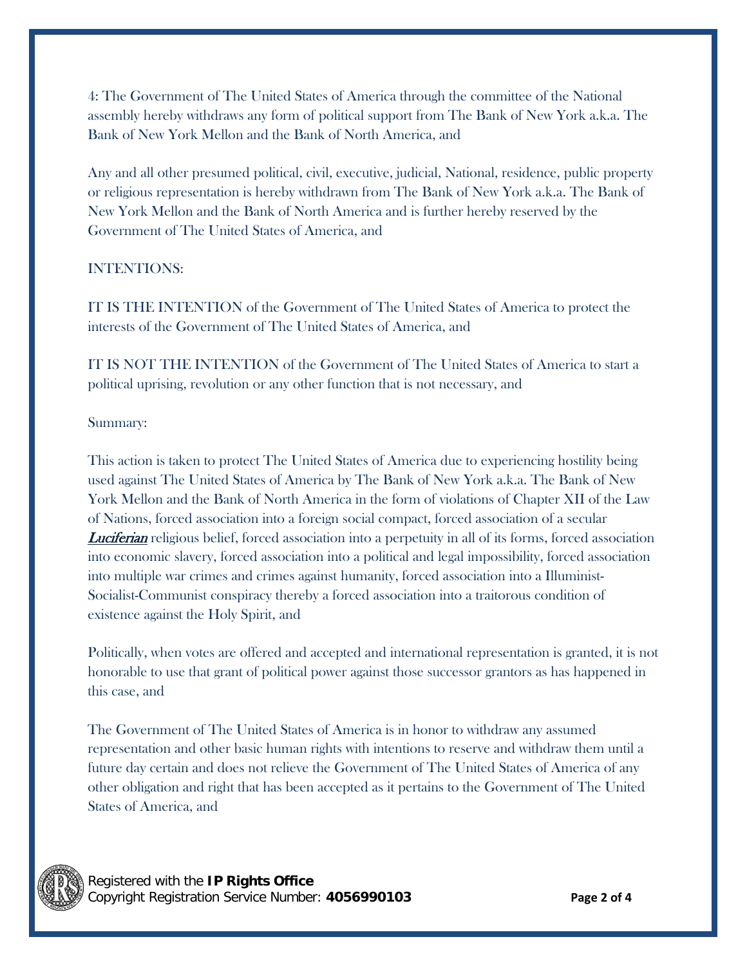4: The Government of The United States of America through the committee of the National assembly hereby withdraws any form of political support from The Bank of New York a.k.a. The Bank of New York Mellon and the Bank of North America, and

Any and all other presumed political, civil, executive, judicial, National, residence, public property or religious representation is hereby withdrawn from The Bank of New York a.k.a. The Bank of New York Mellon and the Bank of North America and is further hereby reserved by the Government of The United States of America, and

## INTENTIONS:

IT IS THE INTENTION of the Government of The United States of America to protect the interests of the Government of The United States of America, and

IT IS NOT THE INTENTION of the Government of The United States of America to start a political uprising, revolution or any other function that is not necessary, and

### Summary:

This action is taken to protect The United States of America due to experiencing hostility being used against The United States of America by The Bank of New York a.k.a. The Bank of New York Mellon and the Bank of North America in the form of violations of Chapter XII of the Law of Nations, forced association into a foreign social compact, forced association of a secular **Luciferian** religious belief, forced association into a perpetuity in all of its forms, forced association into economic slavery, forced association into a political and legal impossibility, forced association into multiple war crimes and crimes against humanity, forced association into a Illuminist-Socialist-Communist conspiracy thereby a forced association into a traitorous condition of existence against the Holy Spirit, and

Politically, when votes are offered and accepted and international representation is granted, it is not honorable to use that grant of political power against those successor grantors as has happened in this case, and

The Government of The United States of America is in honor to withdraw any assumed representation and other basic human rights with intentions to reserve and withdraw them until a future day certain and does not relieve the Government of The United States of America of any other obligation and right that has been accepted as it pertains to the Government of The United States of America, and

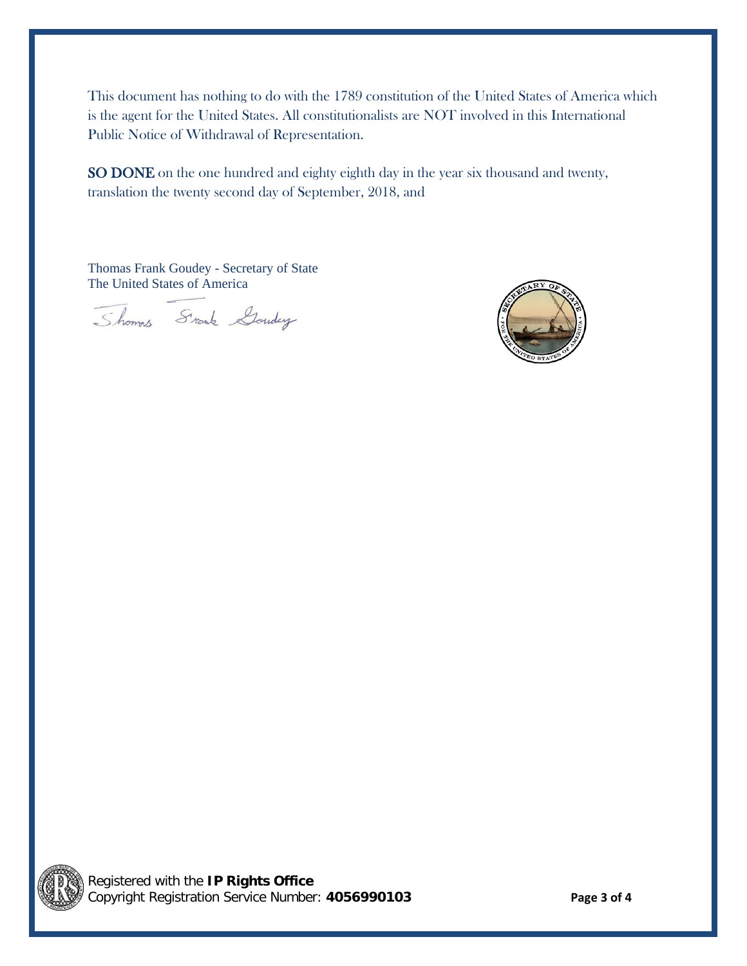This document has nothing to do with the 1789 constitution of the United States of America which is the agent for the United States. All constitutionalists are NOT involved in this International Public Notice of Withdrawal of Representation.

SO DONE on the one hundred and eighty eighth day in the year six thousand and twenty, translation the twenty second day of September, 2018, and

Thomas Frank Goudey - Secretary of State The United States of America

Shows Srank Gouday